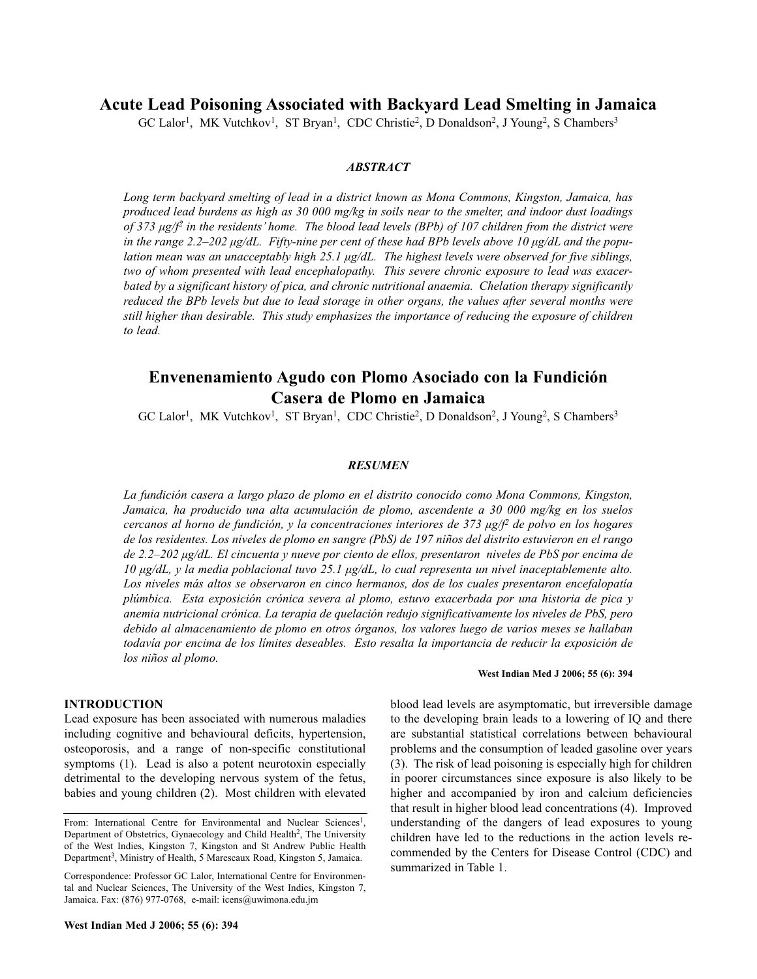## **Acute Lead Poisoning Associated with Backyard Lead Smelting in Jamaica**

GC Lalor<sup>1</sup>, MK Vutchkov<sup>1</sup>, ST Bryan<sup>1</sup>, CDC Christie<sup>2</sup>, D Donaldson<sup>2</sup>, J Young<sup>2</sup>, S Chambers<sup>3</sup>

#### *ABSTRACT*

*Long term backyard smelting of lead in a district known as Mona Commons, Kingston, Jamaica, has produced lead burdens as high as 30 000 mg/kg in soils near to the smelter, and indoor dust loadings of 373 µg/f2 in the residents' home. The blood lead levels (BPb) of 107 children from the district were in the range 2.2–202 µg/dL. Fifty-nine per cent of these had BPb levels above 10 µg/dL and the population mean was an unacceptably high 25.1 µg/dL. The highest levels were observed for five siblings, two of whom presented with lead encephalopathy. This severe chronic exposure to lead was exacerbated by a significant history of pica, and chronic nutritional anaemia. Chelation therapy significantly reduced the BPb levels but due to lead storage in other organs, the values after several months were still higher than desirable. This study emphasizes the importance of reducing the exposure of children to lead.*

# **Envenenamiento Agudo con Plomo Asociado con la Fundición Casera de Plomo en Jamaica**

GC Lalor<sup>1</sup>, MK Vutchkov<sup>1</sup>, ST Bryan<sup>1</sup>, CDC Christie<sup>2</sup>, D Donaldson<sup>2</sup>, J Young<sup>2</sup>, S Chambers<sup>3</sup>

#### *RESUMEN*

*La fundición casera a largo plazo de plomo en el distrito conocido como Mona Commons, Kingston, Jamaica, ha producido una alta acumulación de plomo, ascendente a 30 000 mg/kg en los suelos cercanos al horno de fundición, y la concentraciones interiores de 373 µg/f2 de polvo en los hogares de los residentes. Los niveles de plomo en sangre (PbS) de 197 niños del distrito estuvieron en el rango de 2.2–202 µg/dL. El cincuenta y nueve por ciento de ellos, presentaron niveles de PbS por encima de 10 µg/dL, y la media poblacional tuvo 25.1 µg/dL, lo cual representa un nivel inaceptablemente alto. Los niveles más altos se observaron en cinco hermanos, dos de los cuales presentaron encefalopatía plúmbica. Esta exposición crónica severa al plomo, estuvo exacerbada por una historia de pica y anemia nutricional crónica. La terapia de quelación redujo significativamente los niveles de PbS, pero debido al almacenamiento de plomo en otros órganos, los valores luego de varios meses se hallaban todavía por encima de los límites deseables. Esto resalta la importancia de reducir la exposición de los niños al plomo.*

#### **INTRODUCTION**

Lead exposure has been associated with numerous maladies including cognitive and behavioural deficits, hypertension, osteoporosis, and a range of non-specific constitutional symptoms (1). Lead is also a potent neurotoxin especially detrimental to the developing nervous system of the fetus, babies and young children (2). Most children with elevated

#### **West Indian Med J 2006; 55 (6): 394**

blood lead levels are asymptomatic, but irreversible damage to the developing brain leads to a lowering of IQ and there are substantial statistical correlations between behavioural problems and the consumption of leaded gasoline over years (3). The risk of lead poisoning is especially high for children in poorer circumstances since exposure is also likely to be higher and accompanied by iron and calcium deficiencies that result in higher blood lead concentrations (4). Improved understanding of the dangers of lead exposures to young children have led to the reductions in the action levels recommended by the Centers for Disease Control (CDC) and summarized in Table 1.

From: International Centre for Environmental and Nuclear Sciences<sup>1</sup>, Department of Obstetrics, Gynaecology and Child Health<sup>2</sup>, The University of the West Indies, Kingston 7, Kingston and St Andrew Public Health Department<sup>3</sup>, Ministry of Health, 5 Marescaux Road, Kingston 5, Jamaica.

Correspondence: Professor GC Lalor, International Centre for Environmental and Nuclear Sciences, The University of the West Indies, Kingston 7, Jamaica. Fax: (876) 977-0768, e-mail: icens@uwimona.edu.jm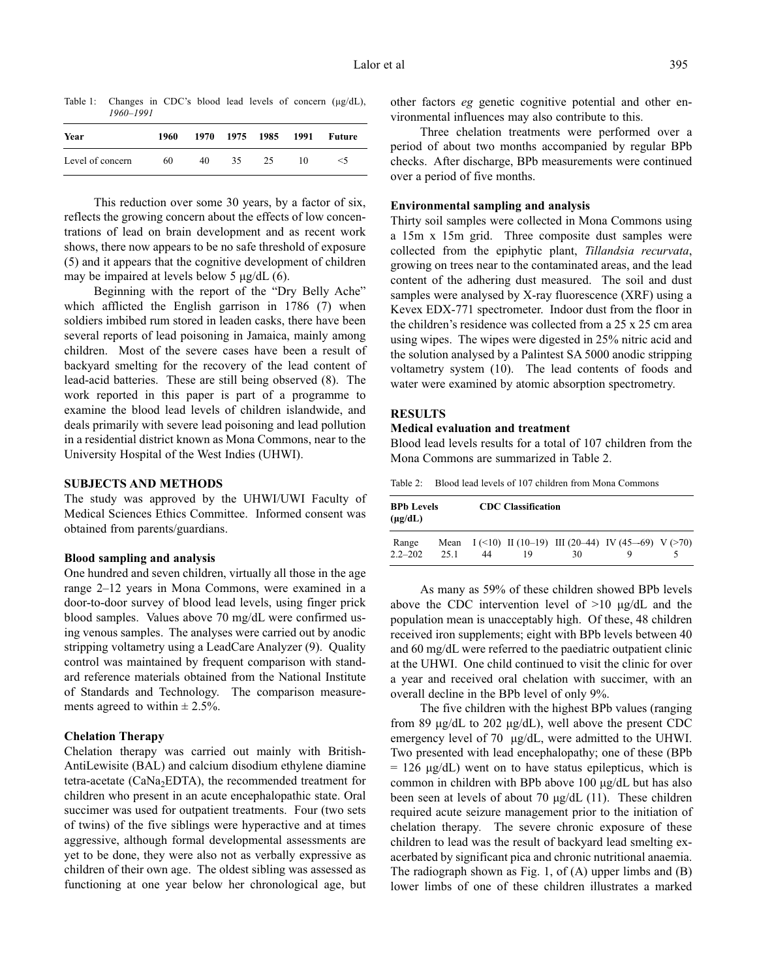Table 1: Changes in CDC's blood lead levels of concern ( $\mu$ g/dL), *1960–1991*

| Year             | 1960 |    |     |    |    | 1970 1975 1985 1991 Future |
|------------------|------|----|-----|----|----|----------------------------|
| Level of concern | 60   | 40 | 35. | 25 | 10 | $\leq 5$                   |

This reduction over some 30 years, by a factor of six, reflects the growing concern about the effects of low concentrations of lead on brain development and as recent work shows, there now appears to be no safe threshold of exposure (5) and it appears that the cognitive development of children may be impaired at levels below 5  $\mu$ g/dL (6).

Beginning with the report of the "Dry Belly Ache" which afflicted the English garrison in 1786 (7) when soldiers imbibed rum stored in leaden casks, there have been several reports of lead poisoning in Jamaica, mainly among children. Most of the severe cases have been a result of backyard smelting for the recovery of the lead content of lead-acid batteries. These are still being observed (8). The work reported in this paper is part of a programme to examine the blood lead levels of children islandwide, and deals primarily with severe lead poisoning and lead pollution in a residential district known as Mona Commons, near to the University Hospital of the West Indies (UHWI).

## **SUBJECTS AND METHODS**

The study was approved by the UHWI/UWI Faculty of Medical Sciences Ethics Committee. Informed consent was obtained from parents/guardians.

#### **Blood sampling and analysis**

One hundred and seven children, virtually all those in the age range 2–12 years in Mona Commons, were examined in a door-to-door survey of blood lead levels, using finger prick blood samples. Values above 70 mg/dL were confirmed using venous samples. The analyses were carried out by anodic stripping voltametry using a LeadCare Analyzer (9). Quality control was maintained by frequent comparison with standard reference materials obtained from the National Institute of Standards and Technology. The comparison measurements agreed to within  $\pm 2.5\%$ .

## **Chelation Therapy**

Chelation therapy was carried out mainly with British-AntiLewisite (BAL) and calcium disodium ethylene diamine tetra-acetate ( $CaNa<sub>2</sub>EDTA$ ), the recommended treatment for children who present in an acute encephalopathic state. Oral succimer was used for outpatient treatments. Four (two sets of twins) of the five siblings were hyperactive and at times aggressive, although formal developmental assessments are yet to be done, they were also not as verbally expressive as children of their own age. The oldest sibling was assessed as functioning at one year below her chronological age, but other factors *eg* genetic cognitive potential and other environmental influences may also contribute to this.

Three chelation treatments were performed over a period of about two months accompanied by regular BPb checks. After discharge, BPb measurements were continued over a period of five months.

## **Environmental sampling and analysis**

Thirty soil samples were collected in Mona Commons using a 15m x 15m grid. Three composite dust samples were collected from the epiphytic plant, *Tillandsia recurvata*, growing on trees near to the contaminated areas, and the lead content of the adhering dust measured. The soil and dust samples were analysed by X-ray fluorescence (XRF) using a Kevex EDX-771 spectrometer. Indoor dust from the floor in the children's residence was collected from a 25 x 25 cm area using wipes. The wipes were digested in 25% nitric acid and the solution analysed by a Palintest SA 5000 anodic stripping voltametry system (10). The lead contents of foods and water were examined by atomic absorption spectrometry.

## **RESULTS**

## **Medical evaluation and treatment**

Blood lead levels results for a total of 107 children from the Mona Commons are summarized in Table 2.

Table 2: Blood lead levels of 107 children from Mona Commons

| <b>BPh Levels</b><br>$(\mu g/dL)$ |      | <b>CDC</b> Classification |    |    |                                                            |  |
|-----------------------------------|------|---------------------------|----|----|------------------------------------------------------------|--|
| Range<br>$2.2 - 202$              | 25.1 | 44                        | 19 | 30 | Mean $I(\le 10)$ II (10-19) III (20-44) IV (45-69) V (>70) |  |

As many as 59% of these children showed BPb levels above the CDC intervention level of >10 µg/dL and the population mean is unacceptably high. Of these, 48 children received iron supplements; eight with BPb levels between 40 and 60 mg/dL were referred to the paediatric outpatient clinic at the UHWI. One child continued to visit the clinic for over a year and received oral chelation with succimer, with an overall decline in the BPb level of only 9%.

The five children with the highest BPb values (ranging from 89 µg/dL to 202 µg/dL), well above the present CDC emergency level of 70 µg/dL, were admitted to the UHWI. Two presented with lead encephalopathy; one of these (BPb  $= 126 \text{ µg/dL}$ ) went on to have status epilepticus, which is common in children with BPb above 100 µg/dL but has also been seen at levels of about 70 µg/dL (11). These children required acute seizure management prior to the initiation of chelation therapy*.* The severe chronic exposure of these children to lead was the result of backyard lead smelting exacerbated by significant pica and chronic nutritional anaemia. The radiograph shown as Fig. 1, of (A) upper limbs and (B) lower limbs of one of these children illustrates a marked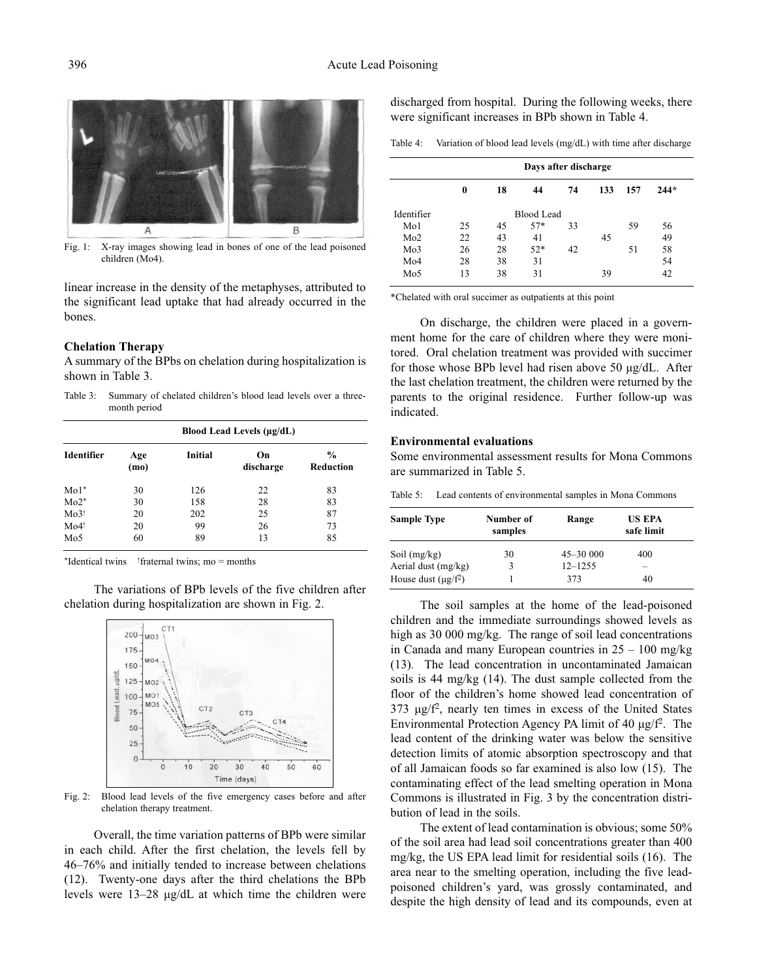

Fig. 1: X-ray images showing lead in bones of one of the lead poisoned children (Mo4).

linear increase in the density of the metaphyses, attributed to the significant lead uptake that had already occurred in the bones.

#### **Chelation Therapy**

A summary of the BPbs on chelation during hospitalization is shown in Table 3.

Table 3: Summary of chelated children's blood lead levels over a threemonth period

|            |             | Blood Lead Levels (µg/dL) |                 |                                   |  |  |  |
|------------|-------------|---------------------------|-----------------|-----------------------------------|--|--|--|
| Identifier | Age<br>(mo) | <b>Initial</b>            | On<br>discharge | $\frac{0}{0}$<br><b>Reduction</b> |  |  |  |
| $Mo1*$     | 30          | 126                       | 22              | 83                                |  |  |  |
| $Mo2*$     | 30          | 158                       | 28              | 83                                |  |  |  |
| Mo3!       | 20          | 202                       | 25              | 87                                |  |  |  |
| Mo4!       | 20          | 99                        | 26              | 73                                |  |  |  |
| Mo5        | 60          | 89                        | 13              | 85                                |  |  |  |

\*Identical twins !fraternal twins; mo = months

The variations of BPb levels of the five children after chelation during hospitalization are shown in Fig. 2.



Fig. 2: Blood lead levels of the five emergency cases before and after chelation therapy treatment.

Overall, the time variation patterns of BPb were similar in each child. After the first chelation, the levels fell by 46–76% and initially tended to increase between chelations (12). Twenty-one days after the third chelations the BPb levels were 13–28 µg/dL at which time the children were

discharged from hospital. During the following weeks, there were significant increases in BPb shown in Table 4.

Variation of blood lead levels (mg/dL) with time after discharge

|                 | Days after discharge |    |            |    |     |     |        |  |
|-----------------|----------------------|----|------------|----|-----|-----|--------|--|
|                 | 0                    | 18 | 44         | 74 | 133 | 157 | $244*$ |  |
| Identifier      |                      |    | Blood Lead |    |     |     |        |  |
| Mo1             | 25                   | 45 | $57*$      | 33 |     | 59  | 56     |  |
| Mo2             | 22                   | 43 | 41         |    | 45  |     | 49     |  |
| Mo3             | 26                   | 28 | $52*$      | 42 |     | 51  | 58     |  |
| Mo4             | 28                   | 38 | 31         |    |     |     | 54     |  |
| Mo <sub>5</sub> | 13                   | 38 | 31         |    | 39  |     | 42     |  |

\*Chelated with oral succimer as outpatients at this point

On discharge, the children were placed in a government home for the care of children where they were monitored. Oral chelation treatment was provided with succimer for those whose BPb level had risen above 50 µg/dL. After the last chelation treatment, the children were returned by the parents to the original residence. Further follow-up was indicated.

### **Environmental evaluations**

Some environmental assessment results for Mona Commons are summarized in Table 5.

Table 5: Lead contents of environmental samples in Mona Commons

| <b>Sample Type</b>       | Number of<br>samples | Range        | <b>US EPA</b><br>safe limit |  |
|--------------------------|----------------------|--------------|-----------------------------|--|
| Soil $(mg/kg)$           | 30                   | $45 - 30000$ | 400                         |  |
| Aerial dust (mg/kg)      | 3                    | $12 - 1255$  | -                           |  |
| House dust $(\mu g/f^2)$ |                      | 373          | 40                          |  |

The soil samples at the home of the lead-poisoned children and the immediate surroundings showed levels as high as 30 000 mg/kg. The range of soil lead concentrations in Canada and many European countries in 25 – 100 mg/kg (13)*.* The lead concentration in uncontaminated Jamaican soils is 44 mg/kg (14). The dust sample collected from the floor of the children's home showed lead concentration of 373 µg/f2, nearly ten times in excess of the United States Environmental Protection Agency PA limit of 40  $\mu$ g/f<sup>2</sup>. The lead content of the drinking water was below the sensitive detection limits of atomic absorption spectroscopy and that of all Jamaican foods so far examined is also low (15). The contaminating effect of the lead smelting operation in Mona Commons is illustrated in Fig. 3 by the concentration distribution of lead in the soils.

The extent of lead contamination is obvious; some 50% of the soil area had lead soil concentrations greater than 400 mg/kg, the US EPA lead limit for residential soils (16). The area near to the smelting operation, including the five leadpoisoned children's yard, was grossly contaminated, and despite the high density of lead and its compounds, even at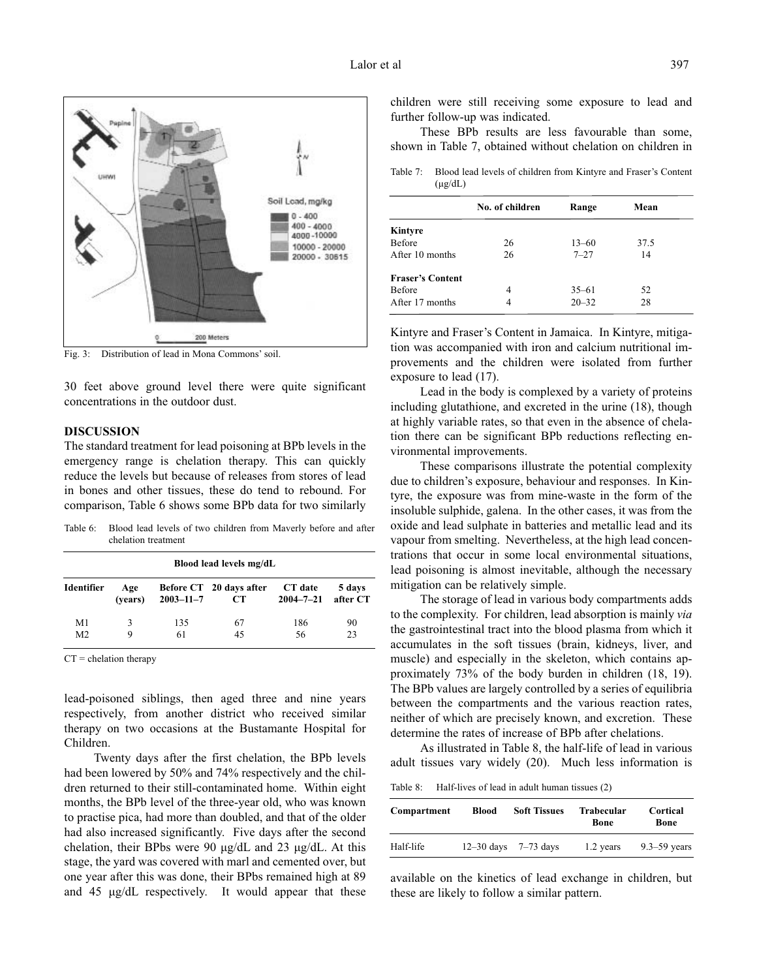

Fig. 3: Distribution of lead in Mona Commons' soil.

30 feet above ground level there were quite significant concentrations in the outdoor dust.

## **DISCUSSION**

The standard treatment for lead poisoning at BPb levels in the emergency range is chelation therapy. This can quickly reduce the levels but because of releases from stores of lead in bones and other tissues, these do tend to rebound. For comparison, Table 6 shows some BPb data for two similarly

Table 6: Blood lead levels of two children from Maverly before and after chelation treatment

| Blood lead levels mg/dL |                |                 |                                      |                            |                    |  |
|-------------------------|----------------|-----------------|--------------------------------------|----------------------------|--------------------|--|
| Identifier              | Age<br>(vears) | $2003 - 11 - 7$ | Before CT 20 days after<br><b>CT</b> | CT date<br>$2004 - 7 - 21$ | 5 days<br>after CT |  |
| M1                      | 3              | 135             | 67                                   | 186                        | 90                 |  |
| M <sub>2</sub>          | 9              | 61              | 45                                   | 56                         | 23                 |  |

 $CT =$  chelation therapy

lead-poisoned siblings, then aged three and nine years respectively, from another district who received similar therapy on two occasions at the Bustamante Hospital for Children.

Twenty days after the first chelation, the BPb levels had been lowered by 50% and 74% respectively and the children returned to their still-contaminated home. Within eight months, the BPb level of the three-year old, who was known to practise pica, had more than doubled, and that of the older had also increased significantly. Five days after the second chelation, their BPbs were 90 µg/dL and 23 µg/dL. At this stage, the yard was covered with marl and cemented over, but one year after this was done, their BPbs remained high at 89 and 45 µg/dL respectively. It would appear that these children were still receiving some exposure to lead and further follow-up was indicated.

These BPb results are less favourable than some, shown in Table 7, obtained without chelation on children in

Table 7: Blood lead levels of children from Kintyre and Fraser's Content  $(\mu g/dL)$ 

|                         | No. of children | Range     | Mean |  |
|-------------------------|-----------------|-----------|------|--|
| Kintyre                 |                 |           |      |  |
| <b>Before</b>           | 26              | $13 - 60$ | 37.5 |  |
| After 10 months         | 26              | $7 - 27$  | 14   |  |
| <b>Fraser's Content</b> |                 |           |      |  |
| <b>Before</b>           | 4               | $35 - 61$ | 52   |  |
| After 17 months         |                 | $20 - 32$ | 28   |  |

Kintyre and Fraser's Content in Jamaica. In Kintyre, mitigation was accompanied with iron and calcium nutritional improvements and the children were isolated from further exposure to lead (17).

Lead in the body is complexed by a variety of proteins including glutathione, and excreted in the urine (18), though at highly variable rates, so that even in the absence of chelation there can be significant BPb reductions reflecting environmental improvements.

These comparisons illustrate the potential complexity due to children's exposure, behaviour and responses. In Kintyre, the exposure was from mine-waste in the form of the insoluble sulphide, galena. In the other cases, it was from the oxide and lead sulphate in batteries and metallic lead and its vapour from smelting. Nevertheless, at the high lead concentrations that occur in some local environmental situations, lead poisoning is almost inevitable, although the necessary mitigation can be relatively simple.

The storage of lead in various body compartments adds to the complexity. For children, lead absorption is mainly *via* the gastrointestinal tract into the blood plasma from which it accumulates in the soft tissues (brain, kidneys, liver, and muscle) and especially in the skeleton, which contains approximately 73% of the body burden in children (18, 19). The BPb values are largely controlled by a series of equilibria between the compartments and the various reaction rates, neither of which are precisely known, and excretion. These determine the rates of increase of BPb after chelations.

As illustrated in Table 8, the half-life of lead in various adult tissues vary widely (20). Much less information is

Table 8: Half-lives of lead in adult human tissues (2)

| Compartment | Blood | <b>Soft Tissues</b>      | <b>Trabecular</b><br>Bone | Cortical<br>Bone |
|-------------|-------|--------------------------|---------------------------|------------------|
| Half-life   |       | $12-30$ days $7-73$ days | 1.2 years                 | $9.3 - 59$ years |

available on the kinetics of lead exchange in children, but these are likely to follow a similar pattern.